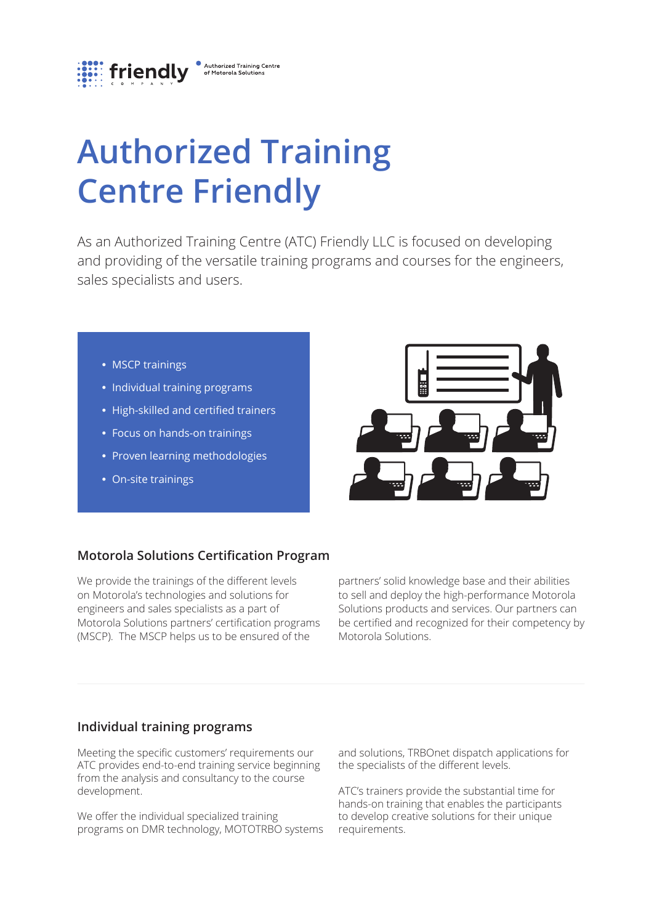

# **Authorized Training Centre Friendly**

As an Authorized Training Centre (ATC) Friendly LLC is focused on developing and providing of the versatile training programs and courses for the engineers, sales specialists and users.

- **•** MSCP trainings
- **•** Individual training programs
- **•** High-skilled and certified trainers
- **•** Focus on hands-on trainings
- **•** Proven learning methodologies
- **•** On-site trainings



## **Motorola Solutions Certification Program**

We provide the trainings of the different levels on Motorola's technologies and solutions for engineers and sales specialists as a part of Motorola Solutions partners' certification programs (MSCP). The MSCP helps us to be ensured of the

partners' solid knowledge base and their abilities to sell and deploy the high-performance Motorola Solutions products and services. Our partners can be certified and recognized for their competency by Motorola Solutions.

## **Individual training programs**

Meeting the specific customers' requirements our ATC provides end-to-end training service beginning from the analysis and consultancy to the course development.

We offer the individual specialized training programs on DMR technology, MOTOTRBO systems and solutions, TRBOnet dispatch applications for the specialists of the different levels.

ATC's trainers provide the substantial time for hands-on training that enables the participants to develop creative solutions for their unique requirements.